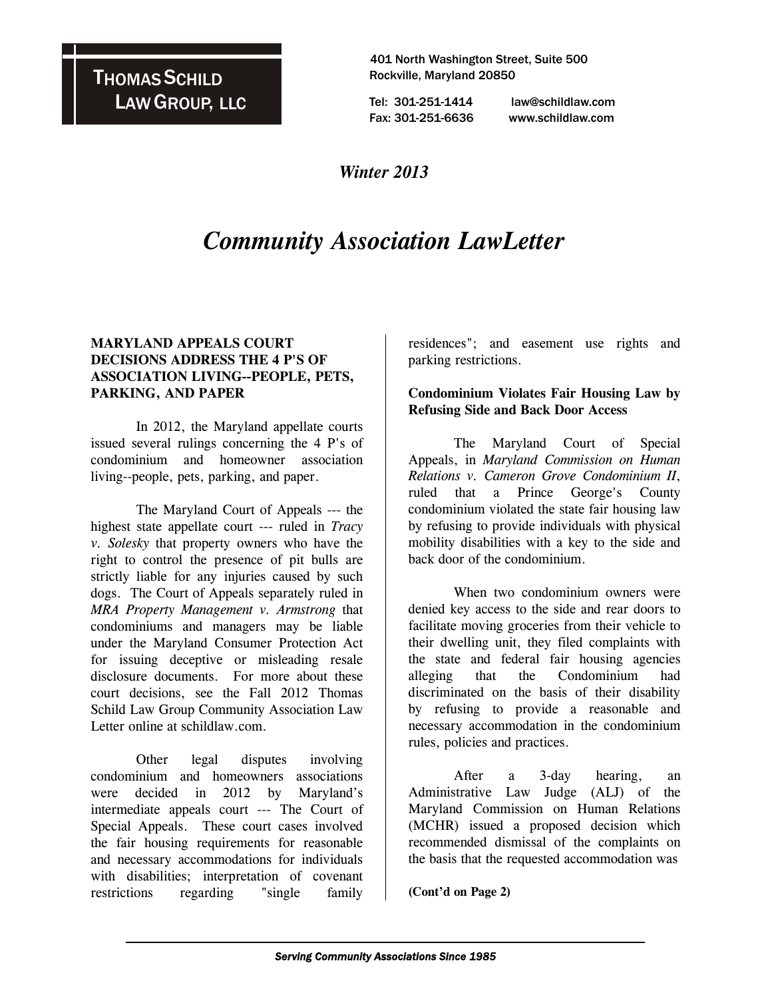## THOMAS SCHILD LAW GROUP, LLC

 401 North Washington Street, Suite 500 Rockville, Maryland 20850

 Tel: 301-251-1414 law@schildlaw.com Fax: 301-251-6636 www.schildlaw.com

### *Winter 2013*

# *Community Association LawLetter*

#### **MARYLAND APPEALS COURT DECISIONS ADDRESS THE 4 P'S OF ASSOCIATION LIVING--PEOPLE, PETS, PARKING, AND PAPER**

 In 2012, the Maryland appellate courts issued several rulings concerning the 4 P's of condominium and homeowner association living--people, pets, parking, and paper.

 The Maryland Court of Appeals --- the highest state appellate court --- ruled in *Tracy v. Solesky* that property owners who have the right to control the presence of pit bulls are strictly liable for any injuries caused by such dogs. The Court of Appeals separately ruled in *MRA Property Management v. Armstrong* that condominiums and managers may be liable under the Maryland Consumer Protection Act for issuing deceptive or misleading resale disclosure documents. For more about these court decisions, see the Fall 2012 Thomas Schild Law Group Community Association Law Letter online at schildlaw.com.

 Other legal disputes involving condominium and homeowners associations were decided in 2012 by Maryland's intermediate appeals court --- The Court of Special Appeals. These court cases involved the fair housing requirements for reasonable and necessary accommodations for individuals with disabilities; interpretation of covenant restrictions regarding "single family

residences"; and easement use rights and parking restrictions.

#### **Condominium Violates Fair Housing Law by Refusing Side and Back Door Access**

 The Maryland Court of Special Appeals, in *Maryland Commission on Human Relations v. Cameron Grove Condominium II*, ruled that a Prince George's County condominium violated the state fair housing law by refusing to provide individuals with physical mobility disabilities with a key to the side and back door of the condominium.

 When two condominium owners were denied key access to the side and rear doors to facilitate moving groceries from their vehicle to their dwelling unit, they filed complaints with the state and federal fair housing agencies alleging that the Condominium had discriminated on the basis of their disability by refusing to provide a reasonable and necessary accommodation in the condominium rules, policies and practices.

 After a 3-day hearing, an Administrative Law Judge (ALJ) of the Maryland Commission on Human Relations (MCHR) issued a proposed decision which recommended dismissal of the complaints on the basis that the requested accommodation was

**(Cont'd on Page 2)**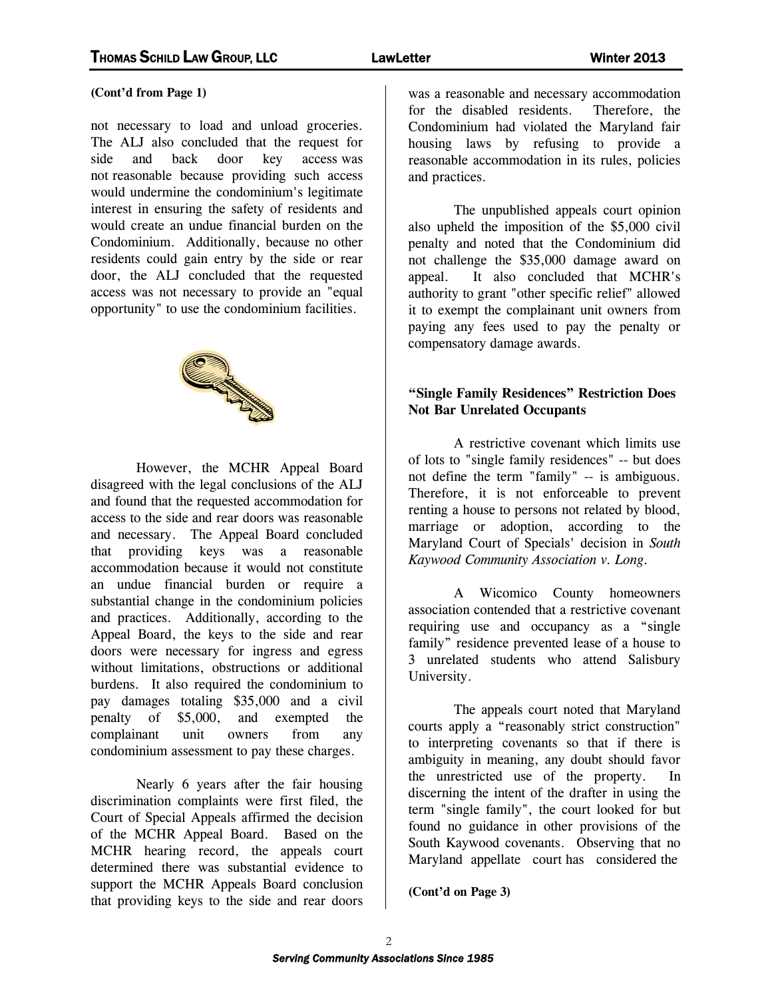#### **(Cont'd from Page 1)**

not necessary to load and unload groceries. The ALJ also concluded that the request for side and back door key access was not reasonable because providing such access would undermine the condominium's legitimate interest in ensuring the safety of residents and would create an undue financial burden on the Condominium. Additionally, because no other residents could gain entry by the side or rear door, the ALJ concluded that the requested access was not necessary to provide an "equal opportunity" to use the condominium facilities.



 However, the MCHR Appeal Board disagreed with the legal conclusions of the ALJ and found that the requested accommodation for access to the side and rear doors was reasonable and necessary. The Appeal Board concluded that providing keys was a reasonable accommodation because it would not constitute an undue financial burden or require a substantial change in the condominium policies and practices. Additionally, according to the Appeal Board, the keys to the side and rear doors were necessary for ingress and egress without limitations, obstructions or additional burdens. It also required the condominium to pay damages totaling \$35,000 and a civil penalty of \$5,000, and exempted the complainant unit owners from any condominium assessment to pay these charges.

 Nearly 6 years after the fair housing discrimination complaints were first filed, the Court of Special Appeals affirmed the decision of the MCHR Appeal Board. Based on the MCHR hearing record, the appeals court determined there was substantial evidence to support the MCHR Appeals Board conclusion that providing keys to the side and rear doors

was a reasonable and necessary accommodation for the disabled residents. Therefore, the Condominium had violated the Maryland fair housing laws by refusing to provide a reasonable accommodation in its rules, policies and practices.

 The unpublished appeals court opinion also upheld the imposition of the \$5,000 civil penalty and noted that the Condominium did not challenge the \$35,000 damage award on appeal. It also concluded that MCHR's authority to grant "other specific relief" allowed it to exempt the complainant unit owners from paying any fees used to pay the penalty or compensatory damage awards.

#### **"Single Family Residences" Restriction Does Not Bar Unrelated Occupants**

 A restrictive covenant which limits use of lots to "single family residences" -- but does not define the term "family" -- is ambiguous. Therefore, it is not enforceable to prevent renting a house to persons not related by blood, marriage or adoption, according to the Maryland Court of Specials' decision in *South Kaywood Community Association v. Long.* 

 A Wicomico County homeowners association contended that a restrictive covenant requiring use and occupancy as a "single family" residence prevented lease of a house to 3 unrelated students who attend Salisbury University.

 The appeals court noted that Maryland courts apply a "reasonably strict construction" to interpreting covenants so that if there is ambiguity in meaning, any doubt should favor the unrestricted use of the property. discerning the intent of the drafter in using the term "single family", the court looked for but found no guidance in other provisions of the South Kaywood covenants. Observing that no Maryland appellate court has considered the

**(Cont'd on Page 3)**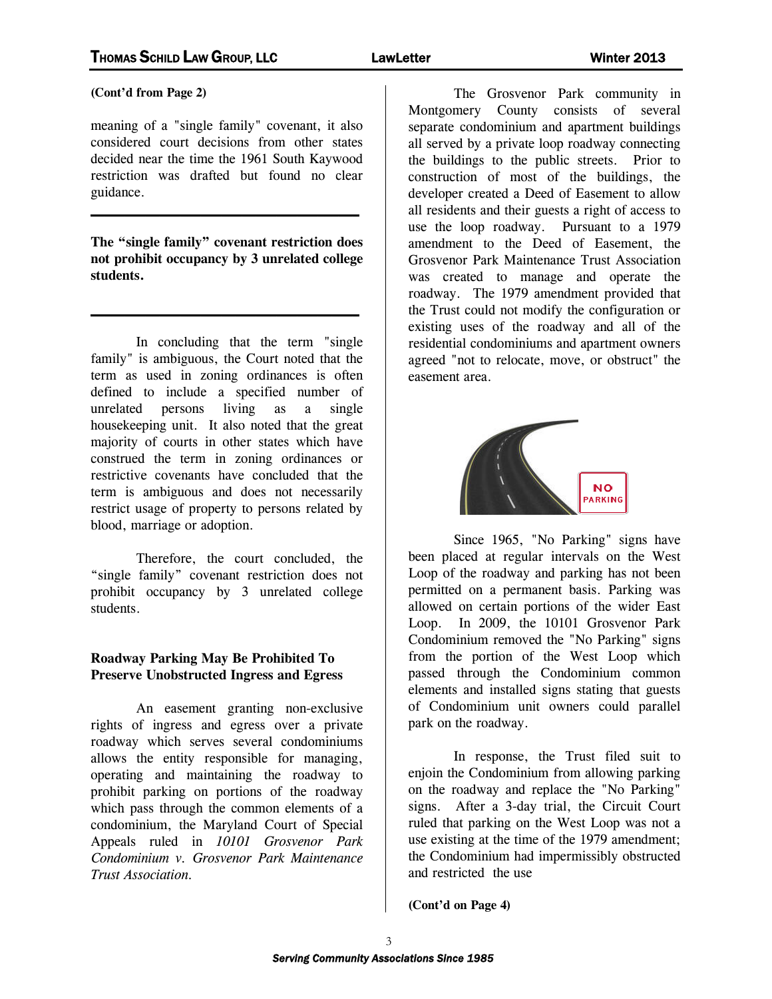**(Cont'd from Page 2)** 

meaning of a "single family" covenant, it also considered court decisions from other states decided near the time the 1961 South Kaywood restriction was drafted but found no clear guidance.

**The "single family" covenant restriction does not prohibit occupancy by 3 unrelated college students.** 

 $\mathcal{L}_\text{max}$  and  $\mathcal{L}_\text{max}$  and  $\mathcal{L}_\text{max}$  and  $\mathcal{L}_\text{max}$ 

 $\mathcal{L}_\text{max}$  and  $\mathcal{L}_\text{max}$  and  $\mathcal{L}_\text{max}$  and  $\mathcal{L}_\text{max}$ 

 In concluding that the term "single family" is ambiguous, the Court noted that the term as used in zoning ordinances is often defined to include a specified number of unrelated persons living as a single housekeeping unit. It also noted that the great majority of courts in other states which have construed the term in zoning ordinances or restrictive covenants have concluded that the term is ambiguous and does not necessarily restrict usage of property to persons related by blood, marriage or adoption.

 Therefore, the court concluded, the "single family" covenant restriction does not prohibit occupancy by 3 unrelated college students.

#### **Roadway Parking May Be Prohibited To Preserve Unobstructed Ingress and Egress**

 An easement granting non-exclusive rights of ingress and egress over a private roadway which serves several condominiums allows the entity responsible for managing, operating and maintaining the roadway to prohibit parking on portions of the roadway which pass through the common elements of a condominium, the Maryland Court of Special Appeals ruled in *10101 Grosvenor Park Condominium v. Grosvenor Park Maintenance Trust Association.* 

 The Grosvenor Park community in Montgomery County consists of several separate condominium and apartment buildings all served by a private loop roadway connecting the buildings to the public streets. Prior to construction of most of the buildings, the developer created a Deed of Easement to allow all residents and their guests a right of access to use the loop roadway. Pursuant to a 1979 amendment to the Deed of Easement, the Grosvenor Park Maintenance Trust Association was created to manage and operate the roadway. The 1979 amendment provided that the Trust could not modify the configuration or existing uses of the roadway and all of the residential condominiums and apartment owners agreed "not to relocate, move, or obstruct" the easement area.



 Since 1965, "No Parking" signs have been placed at regular intervals on the West Loop of the roadway and parking has not been permitted on a permanent basis. Parking was allowed on certain portions of the wider East Loop. In 2009, the 10101 Grosvenor Park Condominium removed the "No Parking" signs from the portion of the West Loop which passed through the Condominium common elements and installed signs stating that guests of Condominium unit owners could parallel park on the roadway.

 In response, the Trust filed suit to enjoin the Condominium from allowing parking on the roadway and replace the "No Parking" signs. After a 3-day trial, the Circuit Court ruled that parking on the West Loop was not a use existing at the time of the 1979 amendment; the Condominium had impermissibly obstructed and restricted the use

**(Cont'd on Page 4)**